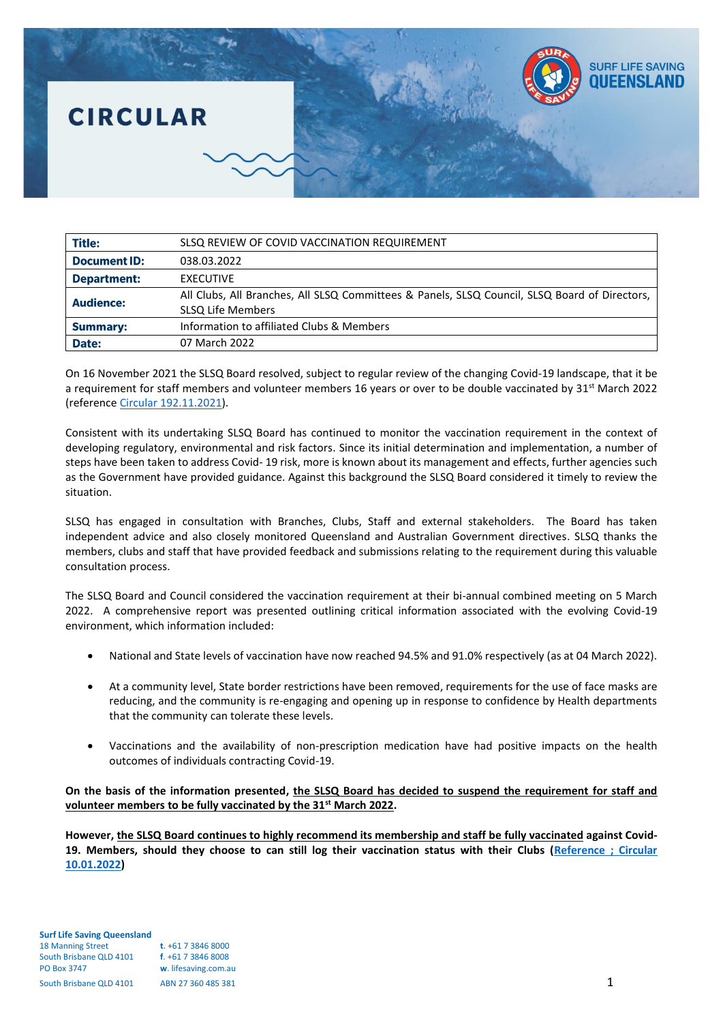## **SURF LIFE SAVING** OHEENSI AI **CIRCULAR**

| <b>Title:</b>       | SLSQ REVIEW OF COVID VACCINATION REQUIREMENT                                                                              |
|---------------------|---------------------------------------------------------------------------------------------------------------------------|
| <b>Document ID:</b> | 038.03.2022                                                                                                               |
| <b>Department:</b>  | <b>EXECUTIVE</b>                                                                                                          |
| <b>Audience:</b>    | All Clubs, All Branches, All SLSQ Committees & Panels, SLSQ Council, SLSQ Board of Directors,<br><b>SLSQ Life Members</b> |
| <b>Summary:</b>     | Information to affiliated Clubs & Members                                                                                 |
| Date:               | 07 March 2022                                                                                                             |

On 16 November 2021 the SLSQ Board resolved, subject to regular review of the changing Covid-19 landscape, that it be a requirement for staff members and volunteer members 16 years or over to be double vaccinated by  $31<sup>st</sup>$  March 2022 (referenc[e Circular 192.11.2021\)](https://slsqcm.entegyapp.com.au/Page/61/6225).

Consistent with its undertaking SLSQ Board has continued to monitor the vaccination requirement in the context of developing regulatory, environmental and risk factors. Since its initial determination and implementation, a number of steps have been taken to address Covid- 19 risk, more is known about its management and effects, further agencies such as the Government have provided guidance. Against this background the SLSQ Board considered it timely to review the situation.

SLSQ has engaged in consultation with Branches, Clubs, Staff and external stakeholders. The Board has taken independent advice and also closely monitored Queensland and Australian Government directives. SLSQ thanks the members, clubs and staff that have provided feedback and submissions relating to the requirement during this valuable consultation process.

The SLSQ Board and Council considered the vaccination requirement at their bi-annual combined meeting on 5 March 2022. A comprehensive report was presented outlining critical information associated with the evolving Covid-19 environment, which information included:

- National and State levels of vaccination have now reached 94.5% and 91.0% respectively (as at 04 March 2022).
- At a community level, State border restrictions have been removed, requirements for the use of face masks are reducing, and the community is re-engaging and opening up in response to confidence by Health departments that the community can tolerate these levels.
- Vaccinations and the availability of non-prescription medication have had positive impacts on the health outcomes of individuals contracting Covid-19.

## **On the basis of the information presented, the SLSQ Board has decided to suspend the requirement for staff and volunteer members to be fully vaccinated by the 31st March 2022.**

**However, the SLSQ Board continues to highly recommend its membership and staff be fully vaccinated against Covid-19. Members, should they choose to can still log their vaccination status with their Clubs [\(Reference ; Circular](https://slsqcm.entegyapp.com.au/Page/61/6262)  [10.01.2022\)](https://slsqcm.entegyapp.com.au/Page/61/6262)**